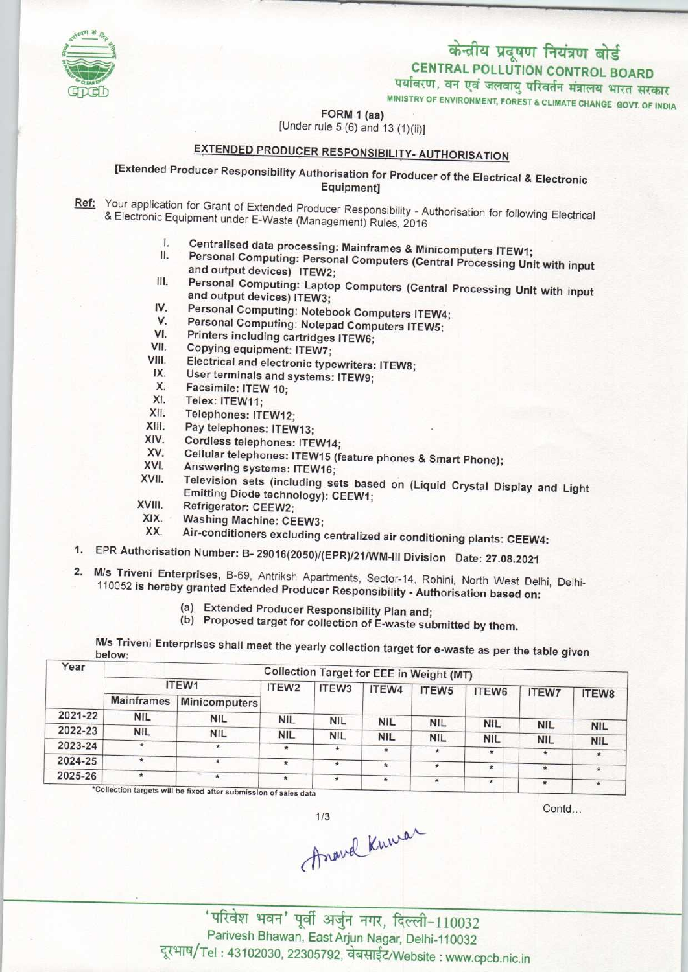## केन्द्रीय प्रदूषण नियंत्रण बोर्ड CENTRAL POLLUTION CONTROL BOARD

MINISTRY OF ENVIRONMENT, FOREST & CLIMATE CHANGE GOVT. OF INDIA पर्यावरण, वन एवं जलवायु परिवर्तन मंत्रालय भारत सरकार

FORM 1 (aa)

[Under rule 5 (6) and 13 (1)(ii)]

## EXTENDED PRODUCER RESPONSIBILITY- AUTHORISATION

[Extended Producer Responsibility Authorisation for Producer of the Electrical & Electronic Equipment]

- Ref: Your application for Grant of Extended Producer Responsibility Authorisation for following Electrical & Electronic Equipment under E-Waste (Management) Rules, 2016
	- Centralised data processing: Mainframes & Minicomputers ITEW1; L II.
	- Personal Computing: Personal Computers (Central Processing Unit with input and output devices) ITEW2;
	- Personal Computing: Laptop Computers (Central Processing Unit with input Ш. and output devices) ITEW3;
	- Personal Computing: Notebook Computers ITEW4; IV. V.
	- Personal Computing: Notepad Computers ITEW5;
	- VI. Printers including cartridges ITEW6;
	- VII. Copying equipment: ITEW7;
	- VIII. Electrical and electronic typewriters: ITEW8;
	- IX. User terminals and systems: ITEW9:
	- X. Facsimile: ITEW 10;
	- XI. Telex: ITEW11;
	- XII. Telephones: ITEW12;
	- XIII. Pay telephones: ITEW13;
	- XIV. Cordless telephones: ITEW14;
	- XV. Cellular telephones: ITEW15 (feature phones & Smart Phone);
	- XVI. Answering systems: ITEW16;
	- XVII. Television sets (including sets based on (Liquid Crystal Display and Light Emitting Diode technology): CEEW1;
	- XVIII. Refrigerator: CEEW2;
	- XIX. Washing Machine: CEEW3;
	- XX. Air-conditioners excluding centralized air conditioning plants: CEEW4:
- 1.EPR Authorisation Number: B- 29016(2050)/(EPR)/21/WM-lll Division Date: 27.08.2021
- 2.M/s Triveni Enterprises, B-69, Antriksh Apartments, Sector-14, Rohini, North West Delhi, Delhi-110052 is hereby granted Extended Producer Responsibility - Authorisation based on:
	- (a) Extended Producer Responsibility Plan and;

(b) Proposed target for collection of E-waste submitted by them.

| Year    | Collection Target for EEE in Weight (MT) |               |                   |            |            |                   |            |                       |            |  |  |
|---------|------------------------------------------|---------------|-------------------|------------|------------|-------------------|------------|-----------------------|------------|--|--|
|         | ITEW1                                    |               | ITEW <sub>2</sub> | ITEW3      | ITEW4      | ITEW <sub>5</sub> | ITEW6      | <b>ITEW7</b>          |            |  |  |
|         | <b>Mainframes</b>                        | Minicomputers |                   |            |            |                   |            |                       | ITEW8      |  |  |
| 2021-22 | <b>NIL</b>                               | <b>NIL</b>    | <b>NIL</b>        | <b>NIL</b> | <b>NIL</b> | <b>NIL</b>        | <b>NIL</b> |                       |            |  |  |
| 2022-23 | <b>NIL</b>                               | <b>NIL</b>    | <b>NIL</b>        | <b>NIL</b> | <b>NIL</b> | <b>NIL</b>        | <b>NIL</b> | <b>NIL</b>            | <b>NIL</b> |  |  |
| 2023-24 | $\star$                                  | $\star$       | $\star$           | $\star$    | $\star$    | $\star$           | $\star$    | <b>NIL</b><br>$\star$ | <b>NIL</b> |  |  |
| 2024-25 | $\star$                                  | $*$           | $*$               | $\star$    | $\star$    | $\frac{1}{2}$     |            |                       |            |  |  |
| 2025-26 | $\star$                                  |               | $*$               | $\star$    | $\star$    | $\pmb{\ast}$      | $\star$    | $\star$               |            |  |  |

ed after submission of sales data

Anaval Kuwa

'परिवेश भवन' पूर्वी अर्जुन नगर, दिल्ली-110032 Parivesh Bhawan, East Arjun Nagar, Delhi-110032 दूरभाष/Tel: 43102030, 22305792, वेबसाईट/Website: www.cpcb.nic.in



Contd...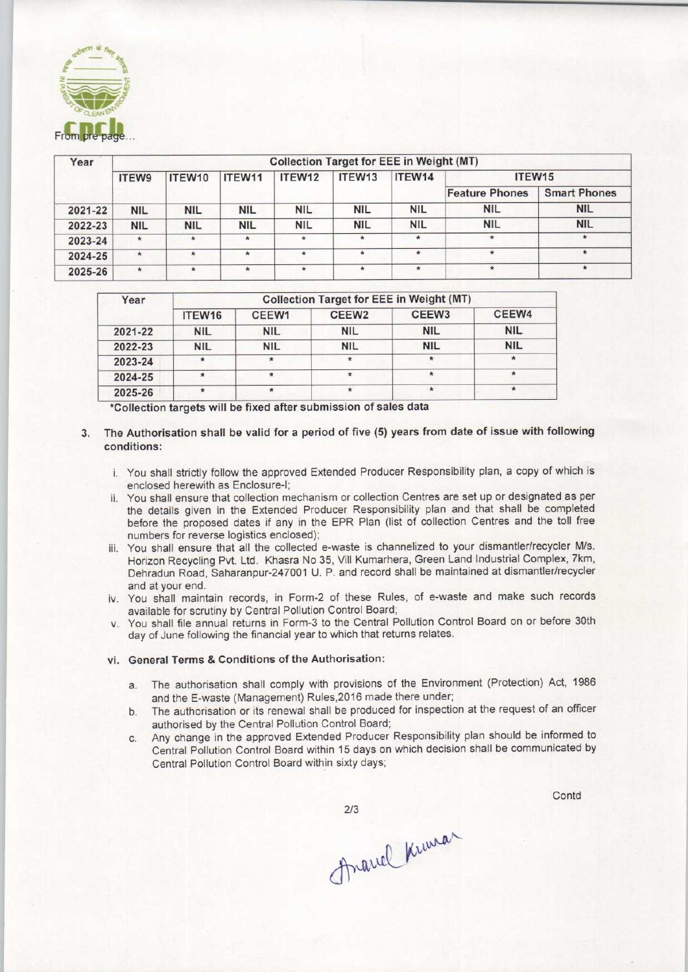

| Year    | <b>Collection Target for EEE in Weight (MT)</b> |            |            |            |            |            |                       |                     |  |  |
|---------|-------------------------------------------------|------------|------------|------------|------------|------------|-----------------------|---------------------|--|--|
|         | ITEW9                                           | ITEW10     | ITEW11     | ITEW12     | ITEW13     | ITEW14     | ITEW15                |                     |  |  |
|         |                                                 |            |            |            |            |            | <b>Feature Phones</b> | <b>Smart Phones</b> |  |  |
| 2021-22 | <b>NIL</b>                                      | <b>NIL</b> | <b>NIL</b> | <b>NIL</b> | <b>NIL</b> | <b>NIL</b> | <b>NIL</b>            | <b>NIL</b>          |  |  |
| 2022-23 | <b>NIL</b>                                      | <b>NIL</b> | <b>NIL</b> | <b>NIL</b> | <b>NIL</b> | <b>NIL</b> | <b>NIL</b>            | <b>NIL</b>          |  |  |
| 2023-24 | $\star$                                         | $\star$    | $\star$    | $\star$    | $\star$    | $\star$    |                       | $\star$             |  |  |
| 2024-25 | $\star$                                         |            | $\star$    | $\star$    | $\ast$     |            |                       |                     |  |  |
| 2025-26 | $\star$                                         | $\star$    | $\star$    | $\star$    | $\star$    | $\star$    | $\star$               | $\star$             |  |  |

| Year    | <b>Collection Target for EEE in Weight (MT)</b> |            |                   |                   |            |  |  |  |  |
|---------|-------------------------------------------------|------------|-------------------|-------------------|------------|--|--|--|--|
|         | ITEW16                                          | CEEW1      | CEEW <sub>2</sub> | CEEW <sub>3</sub> | CEEW4      |  |  |  |  |
| 2021-22 | <b>NIL</b>                                      | <b>NIL</b> | <b>NIL</b>        | <b>NIL</b>        | <b>NIL</b> |  |  |  |  |
| 2022-23 | <b>NIL</b>                                      | <b>NIL</b> | <b>NIL</b>        | <b>NIL</b>        | <b>NIL</b> |  |  |  |  |
| 2023-24 | $\star$                                         | $\star$    |                   | $\star$           | $\bullet$  |  |  |  |  |
| 2024-25 | $\star$                                         | $\star$    |                   | $\star$           |            |  |  |  |  |
| 2025-26 |                                                 |            |                   | $\star$           | $\star$    |  |  |  |  |

\*Collection targets will be fixed after submission of sales data

- 3. The Authorisation shall be valid for a period of five (5) years from date of issue with following conditions:
	- i. You shall strictly follow the approved Extended Producer Responsibility plan, a copy of which is enclosed herewith as Enclosure-I;
	- ii. You shall ensure that collection mechanism or collection Centres are set up or designated as per the details given in the Extended Producer Responsibility plan and that shall be completed before the proposed dates if any in the EPR Plan (list of collection Centres and the toll free numbers for reverse logistics enclosed);
	- iii. You shall ensure that all the collected e-waste is channelized to your dismantler/recycler M/s. Horizon Recycling Pvt. Ltd. Khasra No 35, Vill Kumarhera, Green Land Industrial Complex, 7km, Dehradun Road, Saharanpur-247001 U. P. and record shall be maintained at dismantler/recycler and at your end.
	- iv. You shall maintain records, in Form-2 of these Rules, of e-waste and make such records available for scrutiny by Central Pollution Control Board;
	- v. You shall file annual returns in Form-3 to the Central Pollution Control Board on or before 30th day of June following the financial year to which that returns relates.

## vi. General Terms & Conditions of the Authorisation:

- a.The authorisation shall comply with provisions of the Environment (Protection) Act, <sup>1986</sup> and the E-waste (Management) Rules,2016 made there under;
- b.The authorisation or its renewal shall be produced for inspection at the request of an officer authorised by the Central Pollution Control Board;
- c. Any change in the approved Extended Producer Responsibility plan should be informed to Central Pollution Control Board within 15 days on which decision shall be communicated by Central Pollution Control Board within sixty days;

 $2/3$ 

**Contd** 

Anarrel Kruna